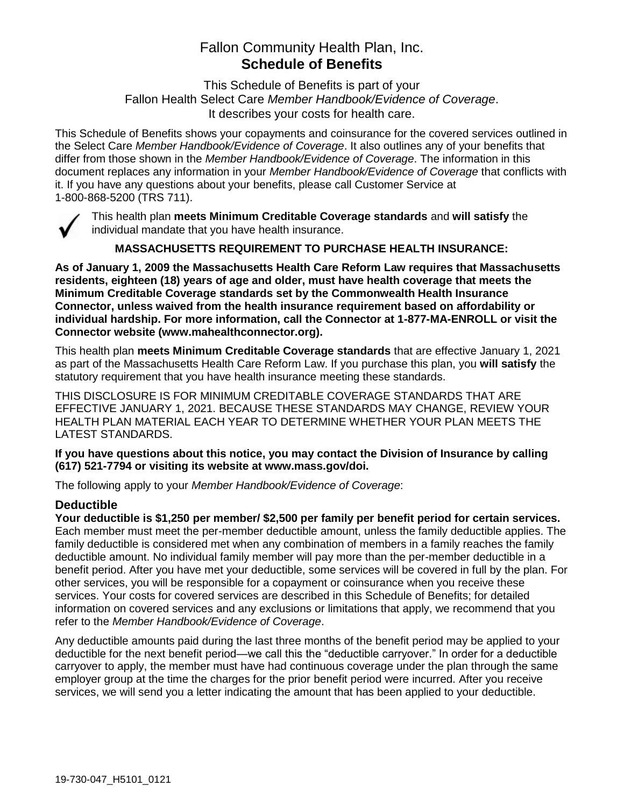# Fallon Community Health Plan, Inc. **Schedule of Benefits**

This Schedule of Benefits is part of your Fallon Health Select Care *Member Handbook/Evidence of Coverage*. It describes your costs for health care.

This Schedule of Benefits shows your copayments and coinsurance for the covered services outlined in the Select Care *Member Handbook/Evidence of Coverage*. It also outlines any of your benefits that differ from those shown in the *Member Handbook/Evidence of Coverage*. The information in this document replaces any information in your *Member Handbook/Evidence of Coverage* that conflicts with it. If you have any questions about your benefits, please call Customer Service at 1-800-868-5200 (TRS 711).



This health plan **meets Minimum Creditable Coverage standards** and **will satisfy** the individual mandate that you have health insurance.

**MASSACHUSETTS REQUIREMENT TO PURCHASE HEALTH INSURANCE:**

**As of January 1, 2009 the Massachusetts Health Care Reform Law requires that Massachusetts residents, eighteen (18) years of age and older, must have health coverage that meets the Minimum Creditable Coverage standards set by the Commonwealth Health Insurance Connector, unless waived from the health insurance requirement based on affordability or individual hardship. For more information, call the Connector at 1-877-MA-ENROLL or visit the Connector website (www.mahealthconnector.org).**

This health plan **meets Minimum Creditable Coverage standards** that are effective January 1, 2021 as part of the Massachusetts Health Care Reform Law. If you purchase this plan, you **will satisfy** the statutory requirement that you have health insurance meeting these standards.

THIS DISCLOSURE IS FOR MINIMUM CREDITABLE COVERAGE STANDARDS THAT ARE EFFECTIVE JANUARY 1, 2021. BECAUSE THESE STANDARDS MAY CHANGE, REVIEW YOUR HEALTH PLAN MATERIAL EACH YEAR TO DETERMINE WHETHER YOUR PLAN MEETS THE LATEST STANDARDS.

**If you have questions about this notice, you may contact the Division of Insurance by calling (617) 521-7794 or visiting its website at www.mass.gov/doi.** 

The following apply to your *Member Handbook/Evidence of Coverage*:

# **Deductible**

**Your deductible is \$1,250 per member/ \$2,500 per family per benefit period for certain services.** Each member must meet the per-member deductible amount, unless the family deductible applies. The family deductible is considered met when any combination of members in a family reaches the family deductible amount. No individual family member will pay more than the per-member deductible in a benefit period. After you have met your deductible, some services will be covered in full by the plan. For other services, you will be responsible for a copayment or coinsurance when you receive these services. Your costs for covered services are described in this Schedule of Benefits; for detailed information on covered services and any exclusions or limitations that apply, we recommend that you refer to the *Member Handbook/Evidence of Coverage*.

Any deductible amounts paid during the last three months of the benefit period may be applied to your deductible for the next benefit period—we call this the "deductible carryover." In order for a deductible carryover to apply, the member must have had continuous coverage under the plan through the same employer group at the time the charges for the prior benefit period were incurred. After you receive services, we will send you a letter indicating the amount that has been applied to your deductible.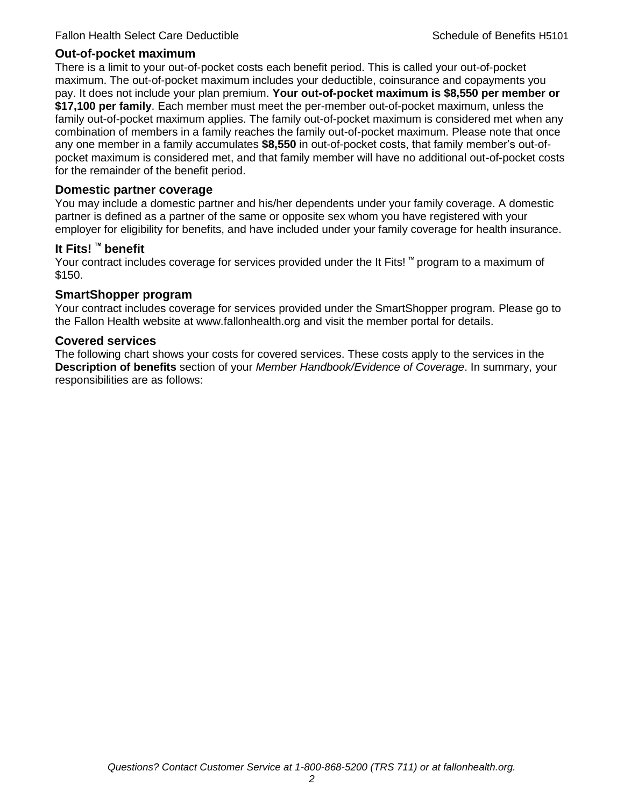### **Out-of-pocket maximum**

There is a limit to your out-of-pocket costs each benefit period. This is called your out-of-pocket maximum. The out-of-pocket maximum includes your deductible, coinsurance and copayments you pay. It does not include your plan premium. **Your out-of-pocket maximum is \$8,550 per member or \$17,100 per family**. Each member must meet the per-member out-of-pocket maximum, unless the family out-of-pocket maximum applies. The family out-of-pocket maximum is considered met when any combination of members in a family reaches the family out-of-pocket maximum. Please note that once any one member in a family accumulates **\$8,550** in out-of-pocket costs, that family member's out-ofpocket maximum is considered met, and that family member will have no additional out-of-pocket costs for the remainder of the benefit period.

#### **Domestic partner coverage**

You may include a domestic partner and his/her dependents under your family coverage. A domestic partner is defined as a partner of the same or opposite sex whom you have registered with your employer for eligibility for benefits, and have included under your family coverage for health insurance.

#### **It Fits! ™ benefit**

Your contract includes coverage for services provided under the It Fits! ™ program to a maximum of \$150.

#### **SmartShopper program**

Your contract includes coverage for services provided under the SmartShopper program. Please go to the Fallon Health website at www.fallonhealth.org and visit the member portal for details.

#### **Covered services**

The following chart shows your costs for covered services. These costs apply to the services in the **Description of benefits** section of your *Member Handbook/Evidence of Coverage*. In summary, your responsibilities are as follows: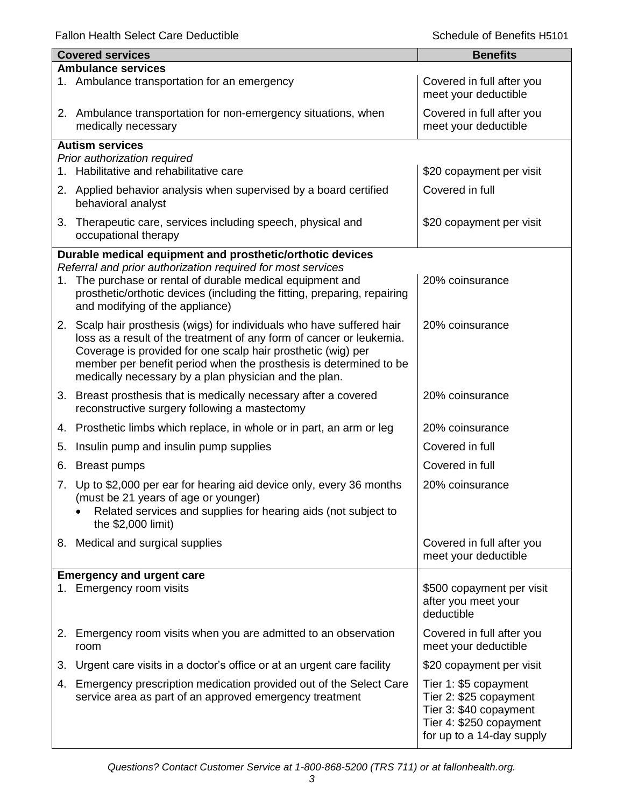Fallon Health Select Care Deductible **Schedule of Benefits H5101** Schedule of Benefits H5101

|    | <b>Covered services</b>                                                                                                                                                | <b>Benefits</b>                                   |
|----|------------------------------------------------------------------------------------------------------------------------------------------------------------------------|---------------------------------------------------|
|    | <b>Ambulance services</b>                                                                                                                                              |                                                   |
|    | 1. Ambulance transportation for an emergency                                                                                                                           | Covered in full after you<br>meet your deductible |
|    | 2. Ambulance transportation for non-emergency situations, when<br>medically necessary                                                                                  | Covered in full after you<br>meet your deductible |
|    | <b>Autism services</b>                                                                                                                                                 |                                                   |
|    | Prior authorization required                                                                                                                                           |                                                   |
| 1. | Habilitative and rehabilitative care                                                                                                                                   | \$20 copayment per visit                          |
|    | 2. Applied behavior analysis when supervised by a board certified<br>behavioral analyst                                                                                | Covered in full                                   |
|    | 3. Therapeutic care, services including speech, physical and<br>occupational therapy                                                                                   | \$20 copayment per visit                          |
|    | Durable medical equipment and prosthetic/orthotic devices                                                                                                              |                                                   |
|    | Referral and prior authorization required for most services                                                                                                            |                                                   |
| 1. | The purchase or rental of durable medical equipment and<br>prosthetic/orthotic devices (including the fitting, preparing, repairing<br>and modifying of the appliance) | 20% coinsurance                                   |
|    | 2. Scalp hair prosthesis (wigs) for individuals who have suffered hair                                                                                                 | 20% coinsurance                                   |
|    | loss as a result of the treatment of any form of cancer or leukemia.                                                                                                   |                                                   |
|    | Coverage is provided for one scalp hair prosthetic (wig) per                                                                                                           |                                                   |
|    | member per benefit period when the prosthesis is determined to be<br>medically necessary by a plan physician and the plan.                                             |                                                   |
|    |                                                                                                                                                                        |                                                   |
|    | 3. Breast prosthesis that is medically necessary after a covered<br>reconstructive surgery following a mastectomy                                                      | 20% coinsurance                                   |
| 4. | Prosthetic limbs which replace, in whole or in part, an arm or leg                                                                                                     | 20% coinsurance                                   |
| 5. | Insulin pump and insulin pump supplies                                                                                                                                 | Covered in full                                   |
| 6. | <b>Breast pumps</b>                                                                                                                                                    | Covered in full                                   |
| 7. | Up to \$2,000 per ear for hearing aid device only, every 36 months                                                                                                     | 20% coinsurance                                   |
|    | (must be 21 years of age or younger)                                                                                                                                   |                                                   |
|    | Related services and supplies for hearing aids (not subject to                                                                                                         |                                                   |
|    | the \$2,000 limit)                                                                                                                                                     |                                                   |
|    | 8. Medical and surgical supplies                                                                                                                                       | Covered in full after you<br>meet your deductible |
|    |                                                                                                                                                                        |                                                   |
|    | <b>Emergency and urgent care</b><br>1. Emergency room visits                                                                                                           | \$500 copayment per visit                         |
|    |                                                                                                                                                                        | after you meet your                               |
|    |                                                                                                                                                                        | deductible                                        |
| 2. | Emergency room visits when you are admitted to an observation                                                                                                          | Covered in full after you                         |
|    | room                                                                                                                                                                   | meet your deductible                              |
| 3. | Urgent care visits in a doctor's office or at an urgent care facility                                                                                                  | \$20 copayment per visit                          |
| 4. | Emergency prescription medication provided out of the Select Care                                                                                                      | Tier 1: \$5 copayment                             |
|    | service area as part of an approved emergency treatment                                                                                                                | Tier 2: \$25 copayment                            |
|    |                                                                                                                                                                        | Tier 3: \$40 copayment<br>Tier 4: \$250 copayment |
|    |                                                                                                                                                                        | for up to a 14-day supply                         |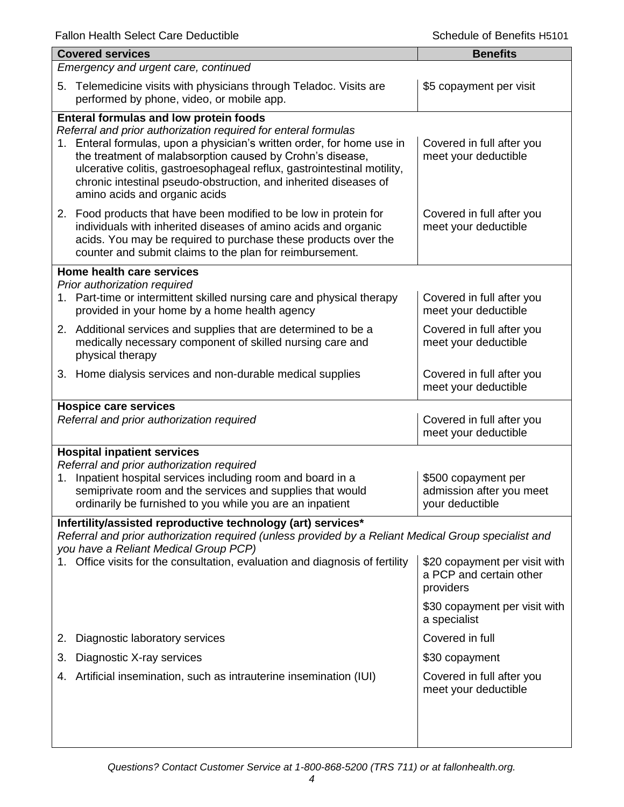| <b>Covered services</b>                                                                                                                                                                                                                                                                                                                                                                                                            | <b>Benefits</b>                                                       |
|------------------------------------------------------------------------------------------------------------------------------------------------------------------------------------------------------------------------------------------------------------------------------------------------------------------------------------------------------------------------------------------------------------------------------------|-----------------------------------------------------------------------|
| Emergency and urgent care, continued                                                                                                                                                                                                                                                                                                                                                                                               |                                                                       |
| 5. Telemedicine visits with physicians through Teladoc. Visits are<br>performed by phone, video, or mobile app.                                                                                                                                                                                                                                                                                                                    | \$5 copayment per visit                                               |
| Enteral formulas and low protein foods<br>Referral and prior authorization required for enteral formulas<br>Enteral formulas, upon a physician's written order, for home use in<br>1.<br>the treatment of malabsorption caused by Crohn's disease,<br>ulcerative colitis, gastroesophageal reflux, gastrointestinal motility,<br>chronic intestinal pseudo-obstruction, and inherited diseases of<br>amino acids and organic acids | Covered in full after you<br>meet your deductible                     |
| 2. Food products that have been modified to be low in protein for<br>individuals with inherited diseases of amino acids and organic<br>acids. You may be required to purchase these products over the<br>counter and submit claims to the plan for reimbursement.                                                                                                                                                                  | Covered in full after you<br>meet your deductible                     |
| Home health care services<br>Prior authorization required                                                                                                                                                                                                                                                                                                                                                                          |                                                                       |
| 1. Part-time or intermittent skilled nursing care and physical therapy<br>provided in your home by a home health agency                                                                                                                                                                                                                                                                                                            | Covered in full after you<br>meet your deductible                     |
| 2. Additional services and supplies that are determined to be a<br>medically necessary component of skilled nursing care and<br>physical therapy                                                                                                                                                                                                                                                                                   | Covered in full after you<br>meet your deductible                     |
| 3. Home dialysis services and non-durable medical supplies                                                                                                                                                                                                                                                                                                                                                                         | Covered in full after you<br>meet your deductible                     |
| <b>Hospice care services</b><br>Referral and prior authorization required                                                                                                                                                                                                                                                                                                                                                          | Covered in full after you<br>meet your deductible                     |
| <b>Hospital inpatient services</b><br>Referral and prior authorization required<br>Inpatient hospital services including room and board in a<br>1.<br>semiprivate room and the services and supplies that would<br>ordinarily be furnished to you while you are an inpatient                                                                                                                                                       | \$500 copayment per<br>admission after you meet<br>your deductible    |
| Infertility/assisted reproductive technology (art) services*                                                                                                                                                                                                                                                                                                                                                                       |                                                                       |
| Referral and prior authorization required (unless provided by a Reliant Medical Group specialist and<br>you have a Reliant Medical Group PCP)<br>Office visits for the consultation, evaluation and diagnosis of fertility                                                                                                                                                                                                         | \$20 copayment per visit with<br>a PCP and certain other<br>providers |
|                                                                                                                                                                                                                                                                                                                                                                                                                                    | \$30 copayment per visit with<br>a specialist                         |
| Diagnostic laboratory services<br>2.                                                                                                                                                                                                                                                                                                                                                                                               | Covered in full                                                       |
| Diagnostic X-ray services<br>3.                                                                                                                                                                                                                                                                                                                                                                                                    | \$30 copayment                                                        |
| Artificial insemination, such as intrauterine insemination (IUI)<br>4.                                                                                                                                                                                                                                                                                                                                                             | Covered in full after you<br>meet your deductible                     |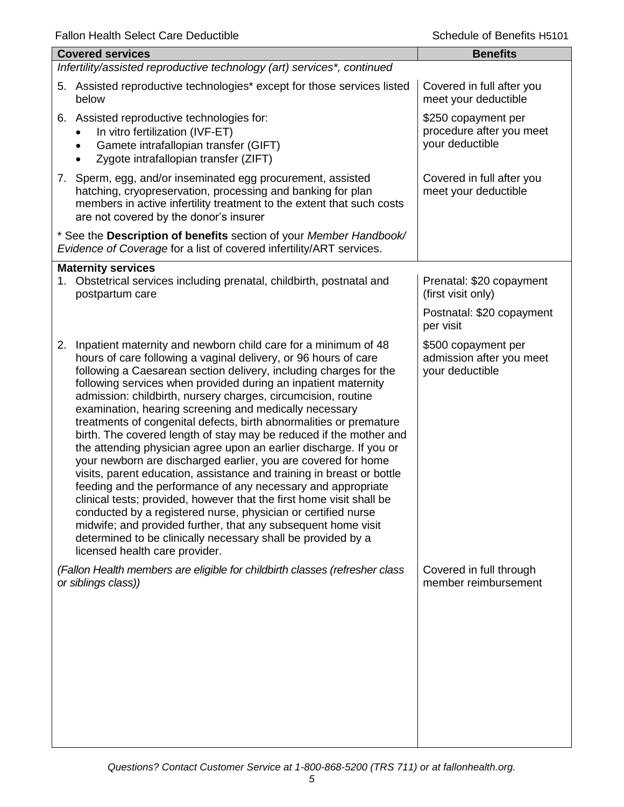| i alion i lealth oelect Care Deuuctible                                                                                                                                                                                                                                                                                                                                                                                                                                                                                                                                                                                                                                                                                                                                                                                                                                                                                                                                                                                                                                                                                                           | ochedale of beliefica i latio i                                    |
|---------------------------------------------------------------------------------------------------------------------------------------------------------------------------------------------------------------------------------------------------------------------------------------------------------------------------------------------------------------------------------------------------------------------------------------------------------------------------------------------------------------------------------------------------------------------------------------------------------------------------------------------------------------------------------------------------------------------------------------------------------------------------------------------------------------------------------------------------------------------------------------------------------------------------------------------------------------------------------------------------------------------------------------------------------------------------------------------------------------------------------------------------|--------------------------------------------------------------------|
| <b>Covered services</b>                                                                                                                                                                                                                                                                                                                                                                                                                                                                                                                                                                                                                                                                                                                                                                                                                                                                                                                                                                                                                                                                                                                           | <b>Benefits</b>                                                    |
| Infertility/assisted reproductive technology (art) services*, continued                                                                                                                                                                                                                                                                                                                                                                                                                                                                                                                                                                                                                                                                                                                                                                                                                                                                                                                                                                                                                                                                           |                                                                    |
| 5. Assisted reproductive technologies* except for those services listed<br>below                                                                                                                                                                                                                                                                                                                                                                                                                                                                                                                                                                                                                                                                                                                                                                                                                                                                                                                                                                                                                                                                  | Covered in full after you<br>meet your deductible                  |
| 6. Assisted reproductive technologies for:<br>In vitro fertilization (IVF-ET)<br>Gamete intrafallopian transfer (GIFT)<br>$\bullet$<br>Zygote intrafallopian transfer (ZIFT)                                                                                                                                                                                                                                                                                                                                                                                                                                                                                                                                                                                                                                                                                                                                                                                                                                                                                                                                                                      | \$250 copayment per<br>procedure after you meet<br>your deductible |
| 7. Sperm, egg, and/or inseminated egg procurement, assisted<br>hatching, cryopreservation, processing and banking for plan<br>members in active infertility treatment to the extent that such costs<br>are not covered by the donor's insurer                                                                                                                                                                                                                                                                                                                                                                                                                                                                                                                                                                                                                                                                                                                                                                                                                                                                                                     | Covered in full after you<br>meet your deductible                  |
| * See the Description of benefits section of your Member Handbook/<br>Evidence of Coverage for a list of covered infertility/ART services.                                                                                                                                                                                                                                                                                                                                                                                                                                                                                                                                                                                                                                                                                                                                                                                                                                                                                                                                                                                                        |                                                                    |
| <b>Maternity services</b><br>1. Obstetrical services including prenatal, childbirth, postnatal and<br>postpartum care                                                                                                                                                                                                                                                                                                                                                                                                                                                                                                                                                                                                                                                                                                                                                                                                                                                                                                                                                                                                                             | Prenatal: \$20 copayment<br>(first visit only)                     |
|                                                                                                                                                                                                                                                                                                                                                                                                                                                                                                                                                                                                                                                                                                                                                                                                                                                                                                                                                                                                                                                                                                                                                   | Postnatal: \$20 copayment<br>per visit                             |
| Inpatient maternity and newborn child care for a minimum of 48<br>2.<br>hours of care following a vaginal delivery, or 96 hours of care<br>following a Caesarean section delivery, including charges for the<br>following services when provided during an inpatient maternity<br>admission: childbirth, nursery charges, circumcision, routine<br>examination, hearing screening and medically necessary<br>treatments of congenital defects, birth abnormalities or premature<br>birth. The covered length of stay may be reduced if the mother and<br>the attending physician agree upon an earlier discharge. If you or<br>your newborn are discharged earlier, you are covered for home<br>visits, parent education, assistance and training in breast or bottle<br>feeding and the performance of any necessary and appropriate<br>clinical tests; provided, however that the first home visit shall be<br>conducted by a registered nurse, physician or certified nurse<br>midwife; and provided further, that any subsequent home visit<br>determined to be clinically necessary shall be provided by a<br>licensed health care provider. | \$500 copayment per<br>admission after you meet<br>your deductible |
| (Fallon Health members are eligible for childbirth classes (refresher class<br>or siblings class))                                                                                                                                                                                                                                                                                                                                                                                                                                                                                                                                                                                                                                                                                                                                                                                                                                                                                                                                                                                                                                                | Covered in full through<br>member reimbursement                    |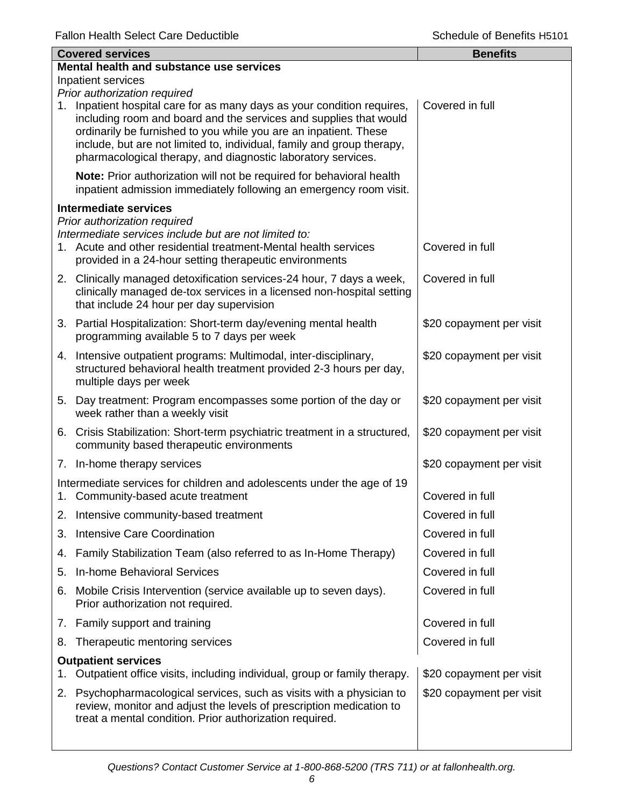|    | <b>Covered services</b>                                                                                                                                                                                                                                                                                                                                    | <b>Benefits</b>          |
|----|------------------------------------------------------------------------------------------------------------------------------------------------------------------------------------------------------------------------------------------------------------------------------------------------------------------------------------------------------------|--------------------------|
|    | Mental health and substance use services                                                                                                                                                                                                                                                                                                                   |                          |
|    | Inpatient services<br>Prior authorization required                                                                                                                                                                                                                                                                                                         |                          |
|    | 1. Inpatient hospital care for as many days as your condition requires,<br>including room and board and the services and supplies that would<br>ordinarily be furnished to you while you are an inpatient. These<br>include, but are not limited to, individual, family and group therapy,<br>pharmacological therapy, and diagnostic laboratory services. | Covered in full          |
|    | Note: Prior authorization will not be required for behavioral health<br>inpatient admission immediately following an emergency room visit.                                                                                                                                                                                                                 |                          |
|    | <b>Intermediate services</b>                                                                                                                                                                                                                                                                                                                               |                          |
|    | Prior authorization required<br>Intermediate services include but are not limited to:<br>1. Acute and other residential treatment-Mental health services<br>provided in a 24-hour setting therapeutic environments                                                                                                                                         | Covered in full          |
|    | 2. Clinically managed detoxification services-24 hour, 7 days a week,<br>clinically managed de-tox services in a licensed non-hospital setting<br>that include 24 hour per day supervision                                                                                                                                                                 | Covered in full          |
|    | 3. Partial Hospitalization: Short-term day/evening mental health<br>programming available 5 to 7 days per week                                                                                                                                                                                                                                             | \$20 copayment per visit |
|    | 4. Intensive outpatient programs: Multimodal, inter-disciplinary,<br>structured behavioral health treatment provided 2-3 hours per day,<br>multiple days per week                                                                                                                                                                                          | \$20 copayment per visit |
|    | 5. Day treatment: Program encompasses some portion of the day or<br>week rather than a weekly visit                                                                                                                                                                                                                                                        | \$20 copayment per visit |
|    | 6. Crisis Stabilization: Short-term psychiatric treatment in a structured,<br>community based therapeutic environments                                                                                                                                                                                                                                     | \$20 copayment per visit |
|    | 7. In-home therapy services                                                                                                                                                                                                                                                                                                                                | \$20 copayment per visit |
|    | Intermediate services for children and adolescents under the age of 19<br>1. Community-based acute treatment                                                                                                                                                                                                                                               | Covered in full          |
|    | 2. Intensive community-based treatment                                                                                                                                                                                                                                                                                                                     | Covered in full          |
| 3. | <b>Intensive Care Coordination</b>                                                                                                                                                                                                                                                                                                                         | Covered in full          |
| 4. | Family Stabilization Team (also referred to as In-Home Therapy)                                                                                                                                                                                                                                                                                            | Covered in full          |
| 5. | <b>In-home Behavioral Services</b>                                                                                                                                                                                                                                                                                                                         | Covered in full          |
| 6. | Mobile Crisis Intervention (service available up to seven days).<br>Prior authorization not required.                                                                                                                                                                                                                                                      | Covered in full          |
| 7. | Family support and training                                                                                                                                                                                                                                                                                                                                | Covered in full          |
| 8. | Therapeutic mentoring services                                                                                                                                                                                                                                                                                                                             | Covered in full          |
| 1. | <b>Outpatient services</b><br>Outpatient office visits, including individual, group or family therapy.                                                                                                                                                                                                                                                     | \$20 copayment per visit |
| 2. | Psychopharmacological services, such as visits with a physician to<br>review, monitor and adjust the levels of prescription medication to<br>treat a mental condition. Prior authorization required.                                                                                                                                                       | \$20 copayment per visit |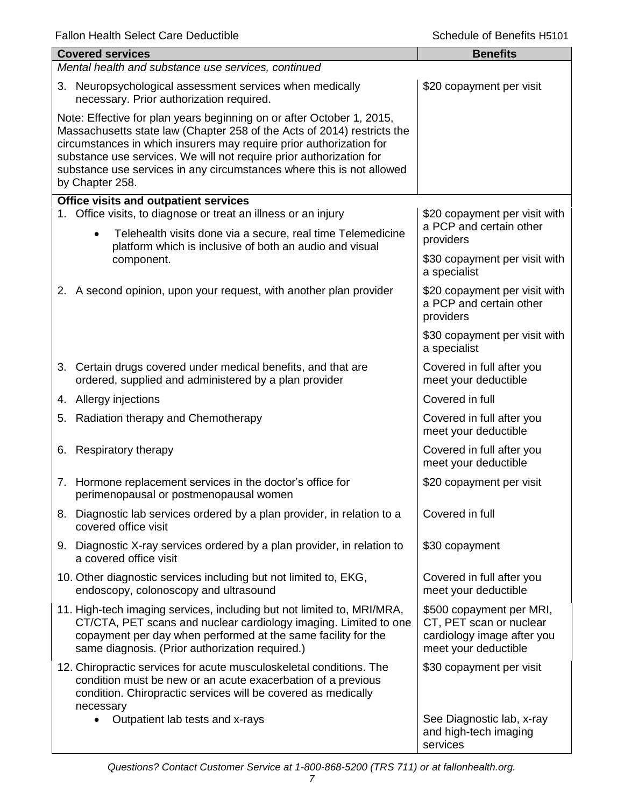|  | <b>Covered services</b><br>Mental health and substance use services, continued                                                                                                                                                                                                                                                                                                             | <b>Benefits</b>                                                                                           |
|--|--------------------------------------------------------------------------------------------------------------------------------------------------------------------------------------------------------------------------------------------------------------------------------------------------------------------------------------------------------------------------------------------|-----------------------------------------------------------------------------------------------------------|
|  | 3. Neuropsychological assessment services when medically<br>necessary. Prior authorization required.                                                                                                                                                                                                                                                                                       | \$20 copayment per visit                                                                                  |
|  | Note: Effective for plan years beginning on or after October 1, 2015,<br>Massachusetts state law (Chapter 258 of the Acts of 2014) restricts the<br>circumstances in which insurers may require prior authorization for<br>substance use services. We will not require prior authorization for<br>substance use services in any circumstances where this is not allowed<br>by Chapter 258. |                                                                                                           |
|  | <b>Office visits and outpatient services</b><br>1. Office visits, to diagnose or treat an illness or an injury                                                                                                                                                                                                                                                                             | \$20 copayment per visit with                                                                             |
|  | Telehealth visits done via a secure, real time Telemedicine<br>$\bullet$<br>platform which is inclusive of both an audio and visual<br>component.                                                                                                                                                                                                                                          | a PCP and certain other<br>providers                                                                      |
|  |                                                                                                                                                                                                                                                                                                                                                                                            | \$30 copayment per visit with<br>a specialist                                                             |
|  | 2. A second opinion, upon your request, with another plan provider                                                                                                                                                                                                                                                                                                                         | \$20 copayment per visit with<br>a PCP and certain other<br>providers                                     |
|  |                                                                                                                                                                                                                                                                                                                                                                                            | \$30 copayment per visit with<br>a specialist                                                             |
|  | 3. Certain drugs covered under medical benefits, and that are<br>ordered, supplied and administered by a plan provider                                                                                                                                                                                                                                                                     | Covered in full after you<br>meet your deductible                                                         |
|  | 4. Allergy injections                                                                                                                                                                                                                                                                                                                                                                      | Covered in full                                                                                           |
|  | 5. Radiation therapy and Chemotherapy                                                                                                                                                                                                                                                                                                                                                      | Covered in full after you<br>meet your deductible                                                         |
|  | 6. Respiratory therapy                                                                                                                                                                                                                                                                                                                                                                     | Covered in full after you<br>meet your deductible                                                         |
|  | 7. Hormone replacement services in the doctor's office for<br>perimenopausal or postmenopausal women                                                                                                                                                                                                                                                                                       | \$20 copayment per visit                                                                                  |
|  | 8. Diagnostic lab services ordered by a plan provider, in relation to a<br>covered office visit                                                                                                                                                                                                                                                                                            | Covered in full                                                                                           |
|  | 9. Diagnostic X-ray services ordered by a plan provider, in relation to<br>a covered office visit                                                                                                                                                                                                                                                                                          | \$30 copayment                                                                                            |
|  | 10. Other diagnostic services including but not limited to, EKG,<br>endoscopy, colonoscopy and ultrasound                                                                                                                                                                                                                                                                                  | Covered in full after you<br>meet your deductible                                                         |
|  | 11. High-tech imaging services, including but not limited to, MRI/MRA,<br>CT/CTA, PET scans and nuclear cardiology imaging. Limited to one<br>copayment per day when performed at the same facility for the<br>same diagnosis. (Prior authorization required.)                                                                                                                             | \$500 copayment per MRI,<br>CT, PET scan or nuclear<br>cardiology image after you<br>meet your deductible |
|  | 12. Chiropractic services for acute musculoskeletal conditions. The<br>condition must be new or an acute exacerbation of a previous<br>condition. Chiropractic services will be covered as medically<br>necessary                                                                                                                                                                          | \$30 copayment per visit                                                                                  |
|  | Outpatient lab tests and x-rays                                                                                                                                                                                                                                                                                                                                                            | See Diagnostic lab, x-ray<br>and high-tech imaging<br>services                                            |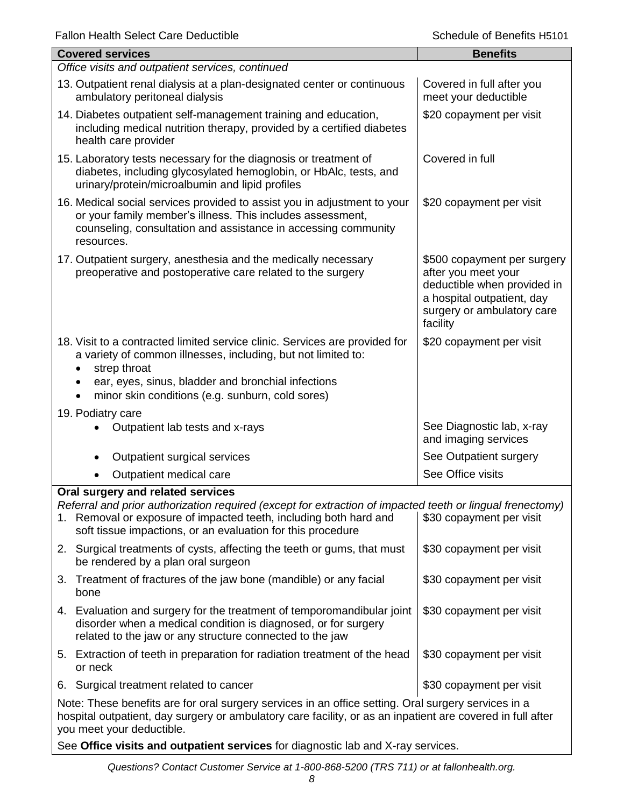| Fallon Health Select Care Deductible                                                                                                                                                                                                                                               | Scriedule of Benefits H5101                                                                                                                               |  |
|------------------------------------------------------------------------------------------------------------------------------------------------------------------------------------------------------------------------------------------------------------------------------------|-----------------------------------------------------------------------------------------------------------------------------------------------------------|--|
| <b>Covered services</b>                                                                                                                                                                                                                                                            | <b>Benefits</b>                                                                                                                                           |  |
| Office visits and outpatient services, continued                                                                                                                                                                                                                                   |                                                                                                                                                           |  |
| 13. Outpatient renal dialysis at a plan-designated center or continuous<br>ambulatory peritoneal dialysis                                                                                                                                                                          | Covered in full after you<br>meet your deductible                                                                                                         |  |
| 14. Diabetes outpatient self-management training and education,<br>including medical nutrition therapy, provided by a certified diabetes<br>health care provider                                                                                                                   | \$20 copayment per visit                                                                                                                                  |  |
| 15. Laboratory tests necessary for the diagnosis or treatment of<br>diabetes, including glycosylated hemoglobin, or HbAlc, tests, and<br>urinary/protein/microalbumin and lipid profiles                                                                                           | Covered in full                                                                                                                                           |  |
| 16. Medical social services provided to assist you in adjustment to your<br>or your family member's illness. This includes assessment,<br>counseling, consultation and assistance in accessing community<br>resources.                                                             | \$20 copayment per visit                                                                                                                                  |  |
| 17. Outpatient surgery, anesthesia and the medically necessary<br>preoperative and postoperative care related to the surgery                                                                                                                                                       | \$500 copayment per surgery<br>after you meet your<br>deductible when provided in<br>a hospital outpatient, day<br>surgery or ambulatory care<br>facility |  |
| 18. Visit to a contracted limited service clinic. Services are provided for<br>a variety of common illnesses, including, but not limited to:<br>strep throat<br>ear, eyes, sinus, bladder and bronchial infections<br>minor skin conditions (e.g. sunburn, cold sores)             | \$20 copayment per visit                                                                                                                                  |  |
| 19. Podiatry care                                                                                                                                                                                                                                                                  |                                                                                                                                                           |  |
| Outpatient lab tests and x-rays                                                                                                                                                                                                                                                    | See Diagnostic lab, x-ray<br>and imaging services                                                                                                         |  |
| Outpatient surgical services                                                                                                                                                                                                                                                       | See Outpatient surgery                                                                                                                                    |  |
| Outpatient medical care                                                                                                                                                                                                                                                            | See Office visits                                                                                                                                         |  |
| Oral surgery and related services<br>Referral and prior authorization required (except for extraction of impacted teeth or lingual frenectomy)<br>1. Removal or exposure of impacted teeth, including both hard and<br>soft tissue impactions, or an evaluation for this procedure | \$30 copayment per visit                                                                                                                                  |  |
| 2. Surgical treatments of cysts, affecting the teeth or gums, that must<br>be rendered by a plan oral surgeon                                                                                                                                                                      | \$30 copayment per visit                                                                                                                                  |  |
| Treatment of fractures of the jaw bone (mandible) or any facial<br>3.<br>bone                                                                                                                                                                                                      | \$30 copayment per visit                                                                                                                                  |  |
| 4. Evaluation and surgery for the treatment of temporomandibular joint<br>disorder when a medical condition is diagnosed, or for surgery<br>related to the jaw or any structure connected to the jaw                                                                               | \$30 copayment per visit                                                                                                                                  |  |
| 5. Extraction of teeth in preparation for radiation treatment of the head<br>or neck                                                                                                                                                                                               | \$30 copayment per visit                                                                                                                                  |  |
| 6. Surgical treatment related to cancer                                                                                                                                                                                                                                            | \$30 copayment per visit                                                                                                                                  |  |
| Note: These benefits are for oral surgery services in an office setting. Oral surgery services in a<br>hospital outpatient, day surgery or ambulatory care facility, or as an inpatient are covered in full after<br>you meet your deductible.                                     |                                                                                                                                                           |  |

See **Office visits and outpatient services** for diagnostic lab and X-ray services.

*Questions? Contact Customer Service at 1-800-868-5200 (TRS 711) or at fallonhealth.org.*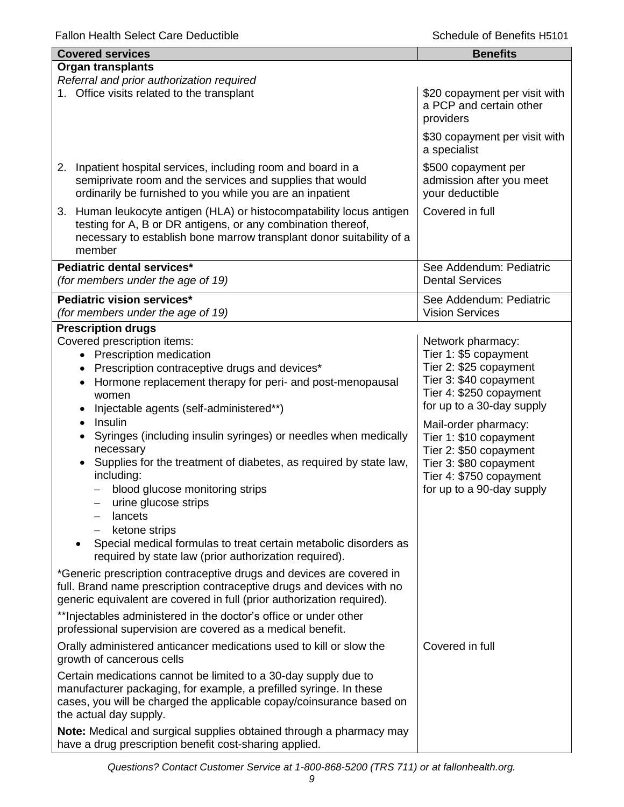| <b>Covered services</b>                                                                                                                                                                                                                                                                                                                                                                                     | <b>Benefits</b>                                                                                                                                            |
|-------------------------------------------------------------------------------------------------------------------------------------------------------------------------------------------------------------------------------------------------------------------------------------------------------------------------------------------------------------------------------------------------------------|------------------------------------------------------------------------------------------------------------------------------------------------------------|
| <b>Organ transplants</b>                                                                                                                                                                                                                                                                                                                                                                                    |                                                                                                                                                            |
| Referral and prior authorization required<br>1. Office visits related to the transplant                                                                                                                                                                                                                                                                                                                     | \$20 copayment per visit with<br>a PCP and certain other<br>providers                                                                                      |
|                                                                                                                                                                                                                                                                                                                                                                                                             | \$30 copayment per visit with<br>a specialist                                                                                                              |
| Inpatient hospital services, including room and board in a<br>2.<br>semiprivate room and the services and supplies that would<br>ordinarily be furnished to you while you are an inpatient                                                                                                                                                                                                                  | \$500 copayment per<br>admission after you meet<br>your deductible                                                                                         |
| 3. Human leukocyte antigen (HLA) or histocompatability locus antigen<br>testing for A, B or DR antigens, or any combination thereof,<br>necessary to establish bone marrow transplant donor suitability of a<br>member                                                                                                                                                                                      | Covered in full                                                                                                                                            |
| Pediatric dental services*<br>(for members under the age of 19)                                                                                                                                                                                                                                                                                                                                             | See Addendum: Pediatric<br><b>Dental Services</b>                                                                                                          |
| Pediatric vision services*<br>(for members under the age of 19)                                                                                                                                                                                                                                                                                                                                             | See Addendum: Pediatric<br><b>Vision Services</b>                                                                                                          |
| <b>Prescription drugs</b>                                                                                                                                                                                                                                                                                                                                                                                   |                                                                                                                                                            |
| Covered prescription items:<br>• Prescription medication<br>Prescription contraceptive drugs and devices*<br>Hormone replacement therapy for peri- and post-menopausal<br>women<br>Injectable agents (self-administered**)                                                                                                                                                                                  | Network pharmacy:<br>Tier 1: \$5 copayment<br>Tier 2: \$25 copayment<br>Tier 3: \$40 copayment<br>Tier 4: \$250 copayment<br>for up to a 30-day supply     |
| Insulin<br>$\bullet$<br>Syringes (including insulin syringes) or needles when medically<br>necessary<br>Supplies for the treatment of diabetes, as required by state law,<br>including:<br>blood glucose monitoring strips<br>urine glucose strips<br>lancets<br>ketone strips<br>Special medical formulas to treat certain metabolic disorders as<br>required by state law (prior authorization required). | Mail-order pharmacy:<br>Tier 1: \$10 copayment<br>Tier 2: \$50 copayment<br>Tier 3: \$80 copayment<br>Tier 4: \$750 copayment<br>for up to a 90-day supply |
| *Generic prescription contraceptive drugs and devices are covered in<br>full. Brand name prescription contraceptive drugs and devices with no<br>generic equivalent are covered in full (prior authorization required).                                                                                                                                                                                     |                                                                                                                                                            |
| ** Injectables administered in the doctor's office or under other<br>professional supervision are covered as a medical benefit.                                                                                                                                                                                                                                                                             |                                                                                                                                                            |
| Orally administered anticancer medications used to kill or slow the<br>growth of cancerous cells                                                                                                                                                                                                                                                                                                            | Covered in full                                                                                                                                            |
| Certain medications cannot be limited to a 30-day supply due to<br>manufacturer packaging, for example, a prefilled syringe. In these<br>cases, you will be charged the applicable copay/coinsurance based on<br>the actual day supply.                                                                                                                                                                     |                                                                                                                                                            |
| Note: Medical and surgical supplies obtained through a pharmacy may<br>have a drug prescription benefit cost-sharing applied.                                                                                                                                                                                                                                                                               |                                                                                                                                                            |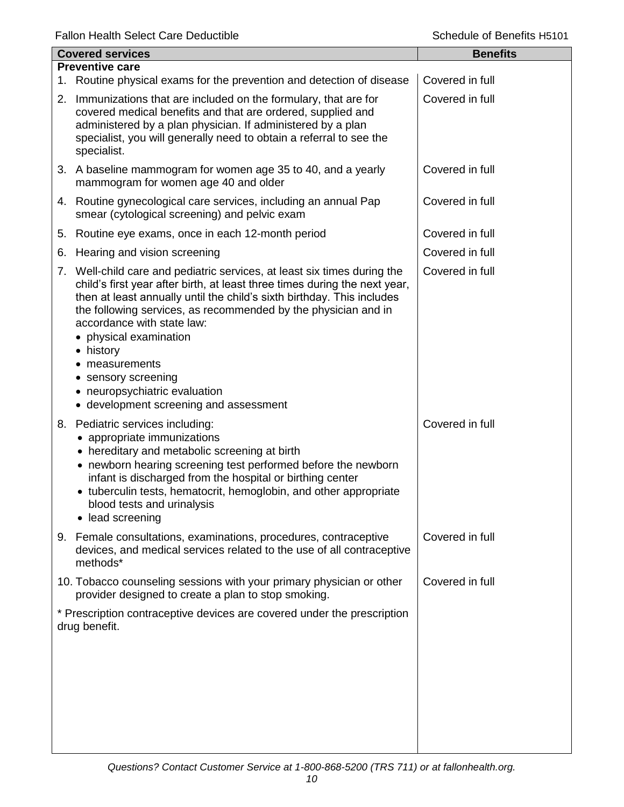|    | <b>Covered services</b>                                                                                                                                                                                                                                                                                                                                                                                                                                                                     | <b>Benefits</b> |
|----|---------------------------------------------------------------------------------------------------------------------------------------------------------------------------------------------------------------------------------------------------------------------------------------------------------------------------------------------------------------------------------------------------------------------------------------------------------------------------------------------|-----------------|
|    | <b>Preventive care</b>                                                                                                                                                                                                                                                                                                                                                                                                                                                                      |                 |
|    | 1. Routine physical exams for the prevention and detection of disease                                                                                                                                                                                                                                                                                                                                                                                                                       | Covered in full |
|    | 2. Immunizations that are included on the formulary, that are for<br>covered medical benefits and that are ordered, supplied and<br>administered by a plan physician. If administered by a plan<br>specialist, you will generally need to obtain a referral to see the<br>specialist.                                                                                                                                                                                                       | Covered in full |
|    | 3. A baseline mammogram for women age 35 to 40, and a yearly<br>mammogram for women age 40 and older                                                                                                                                                                                                                                                                                                                                                                                        | Covered in full |
|    | 4. Routine gynecological care services, including an annual Pap<br>smear (cytological screening) and pelvic exam                                                                                                                                                                                                                                                                                                                                                                            | Covered in full |
| 5. | Routine eye exams, once in each 12-month period                                                                                                                                                                                                                                                                                                                                                                                                                                             | Covered in full |
| 6. | Hearing and vision screening                                                                                                                                                                                                                                                                                                                                                                                                                                                                | Covered in full |
|    | 7. Well-child care and pediatric services, at least six times during the<br>child's first year after birth, at least three times during the next year,<br>then at least annually until the child's sixth birthday. This includes<br>the following services, as recommended by the physician and in<br>accordance with state law:<br>• physical examination<br>• history<br>• measurements<br>• sensory screening<br>• neuropsychiatric evaluation<br>• development screening and assessment | Covered in full |
| 8. | Pediatric services including:<br>• appropriate immunizations<br>• hereditary and metabolic screening at birth<br>• newborn hearing screening test performed before the newborn<br>infant is discharged from the hospital or birthing center<br>tuberculin tests, hematocrit, hemoglobin, and other appropriate<br>$\bullet$<br>blood tests and urinalysis<br>lead screening<br>$\bullet$                                                                                                    | Covered in full |
|    | 9. Female consultations, examinations, procedures, contraceptive<br>devices, and medical services related to the use of all contraceptive<br>methods*                                                                                                                                                                                                                                                                                                                                       | Covered in full |
|    | 10. Tobacco counseling sessions with your primary physician or other<br>provider designed to create a plan to stop smoking.                                                                                                                                                                                                                                                                                                                                                                 | Covered in full |
|    | * Prescription contraceptive devices are covered under the prescription<br>drug benefit.                                                                                                                                                                                                                                                                                                                                                                                                    |                 |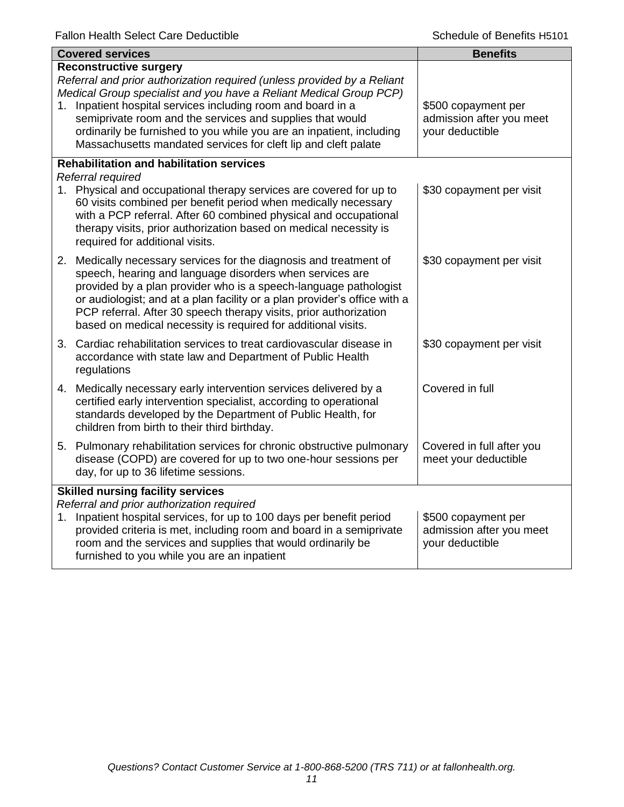|                                                                                       | <b>Covered services</b>                                                                                                                                                                                                                                                                                                                                                                                                                            | <b>Benefits</b>                                                    |
|---------------------------------------------------------------------------------------|----------------------------------------------------------------------------------------------------------------------------------------------------------------------------------------------------------------------------------------------------------------------------------------------------------------------------------------------------------------------------------------------------------------------------------------------------|--------------------------------------------------------------------|
| 1.                                                                                    | <b>Reconstructive surgery</b><br>Referral and prior authorization required (unless provided by a Reliant<br>Medical Group specialist and you have a Reliant Medical Group PCP)<br>Inpatient hospital services including room and board in a<br>semiprivate room and the services and supplies that would<br>ordinarily be furnished to you while you are an inpatient, including<br>Massachusetts mandated services for cleft lip and cleft palate | \$500 copayment per<br>admission after you meet<br>your deductible |
|                                                                                       | <b>Rehabilitation and habilitation services</b><br>Referral required                                                                                                                                                                                                                                                                                                                                                                               |                                                                    |
|                                                                                       | 1. Physical and occupational therapy services are covered for up to<br>60 visits combined per benefit period when medically necessary<br>with a PCP referral. After 60 combined physical and occupational<br>therapy visits, prior authorization based on medical necessity is<br>required for additional visits.                                                                                                                                  | \$30 copayment per visit                                           |
|                                                                                       | 2. Medically necessary services for the diagnosis and treatment of<br>speech, hearing and language disorders when services are<br>provided by a plan provider who is a speech-language pathologist<br>or audiologist; and at a plan facility or a plan provider's office with a<br>PCP referral. After 30 speech therapy visits, prior authorization<br>based on medical necessity is required for additional visits.                              | \$30 copayment per visit                                           |
|                                                                                       | 3. Cardiac rehabilitation services to treat cardiovascular disease in<br>accordance with state law and Department of Public Health<br>regulations                                                                                                                                                                                                                                                                                                  | \$30 copayment per visit                                           |
|                                                                                       | 4. Medically necessary early intervention services delivered by a<br>certified early intervention specialist, according to operational<br>standards developed by the Department of Public Health, for<br>children from birth to their third birthday.                                                                                                                                                                                              | Covered in full                                                    |
|                                                                                       | 5. Pulmonary rehabilitation services for chronic obstructive pulmonary<br>disease (COPD) are covered for up to two one-hour sessions per<br>day, for up to 36 lifetime sessions.                                                                                                                                                                                                                                                                   | Covered in full after you<br>meet your deductible                  |
| <b>Skilled nursing facility services</b><br>Referral and prior authorization required |                                                                                                                                                                                                                                                                                                                                                                                                                                                    |                                                                    |
|                                                                                       | 1. Inpatient hospital services, for up to 100 days per benefit period<br>provided criteria is met, including room and board in a semiprivate<br>room and the services and supplies that would ordinarily be<br>furnished to you while you are an inpatient                                                                                                                                                                                         | \$500 copayment per<br>admission after you meet<br>your deductible |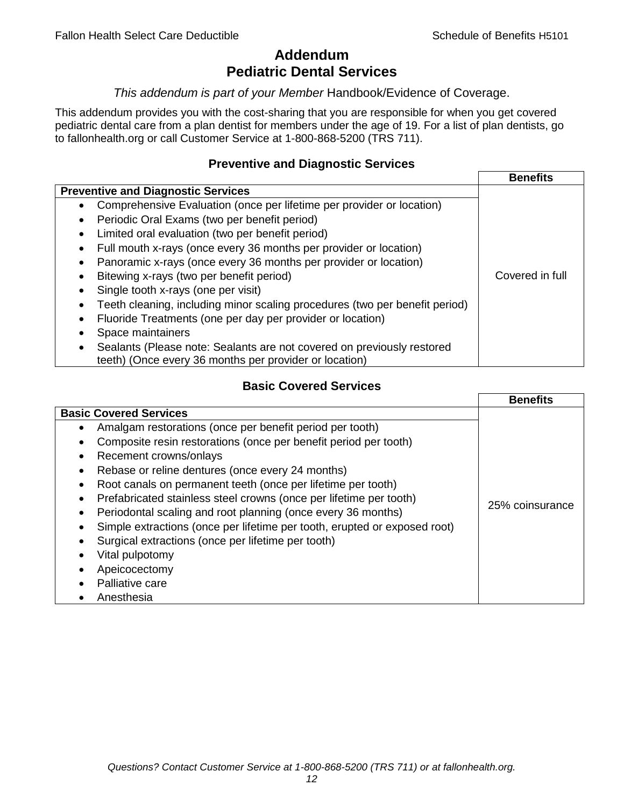# **Addendum Pediatric Dental Services**

# *This addendum is part of your Member* Handbook/Evidence of Coverage.

This addendum provides you with the cost-sharing that you are responsible for when you get covered pediatric dental care from a plan dentist for members under the age of 19. For a list of plan dentists, go to fallonhealth.org or call Customer Service at 1-800-868-5200 (TRS 711).

# **Preventive and Diagnostic Services**

|                                                                             | <b>Benefits</b> |
|-----------------------------------------------------------------------------|-----------------|
| <b>Preventive and Diagnostic Services</b>                                   |                 |
| Comprehensive Evaluation (once per lifetime per provider or location)<br>٠  |                 |
| Periodic Oral Exams (two per benefit period)<br>$\bullet$                   |                 |
| Limited oral evaluation (two per benefit period)<br>$\bullet$               |                 |
| Full mouth x-rays (once every 36 months per provider or location)           |                 |
| Panoramic x-rays (once every 36 months per provider or location)            |                 |
| Bitewing x-rays (two per benefit period)<br>٠                               | Covered in full |
| Single tooth x-rays (one per visit)                                         |                 |
| Teeth cleaning, including minor scaling procedures (two per benefit period) |                 |
| Fluoride Treatments (one per day per provider or location)<br>٠             |                 |
| Space maintainers                                                           |                 |
| Sealants (Please note: Sealants are not covered on previously restored      |                 |
| teeth) (Once every 36 months per provider or location)                      |                 |

# **Basic Covered Services**

|                                                                                                                                                                                                                                                                                                                                            | <b>Benefits</b> |
|--------------------------------------------------------------------------------------------------------------------------------------------------------------------------------------------------------------------------------------------------------------------------------------------------------------------------------------------|-----------------|
| <b>Basic Covered Services</b><br>Amalgam restorations (once per benefit period per tooth)<br>Composite resin restorations (once per benefit period per tooth)<br>Recement crowns/onlays<br>Rebase or reline dentures (once every 24 months)<br>Root canals on permanent teeth (once per lifetime per tooth)                                |                 |
| Prefabricated stainless steel crowns (once per lifetime per tooth)<br>Periodontal scaling and root planning (once every 36 months)<br>Simple extractions (once per lifetime per tooth, erupted or exposed root)<br>Surgical extractions (once per lifetime per tooth)<br>Vital pulpotomy<br>Apeicocectomy<br>Palliative care<br>Anesthesia | 25% coinsurance |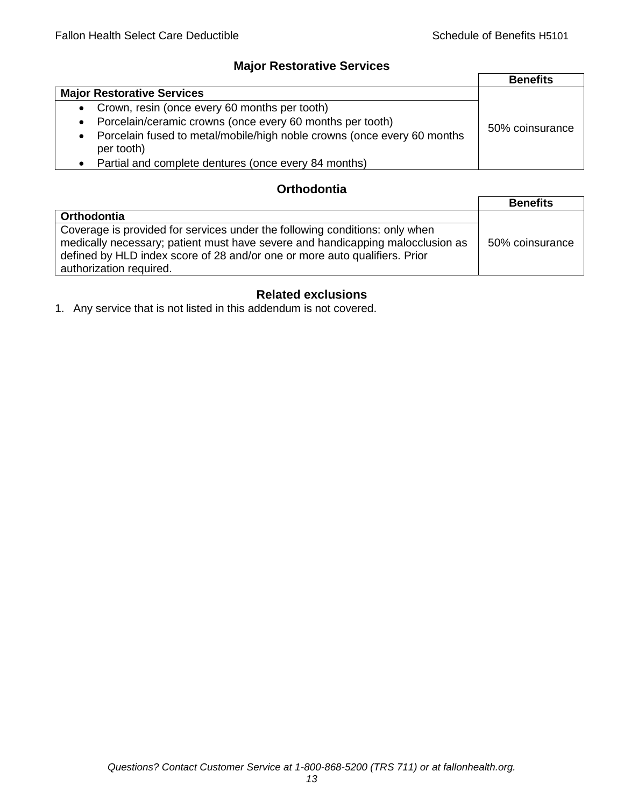# **Major Restorative Services**

|                                                                                                    | <b>Benefits</b> |
|----------------------------------------------------------------------------------------------------|-----------------|
| <b>Major Restorative Services</b>                                                                  |                 |
| • Crown, resin (once every 60 months per tooth)                                                    |                 |
| Porcelain/ceramic crowns (once every 60 months per tooth)<br>$\bullet$                             | 50% coinsurance |
| Porcelain fused to metal/mobile/high noble crowns (once every 60 months<br>$\bullet$<br>per tooth) |                 |
| • Partial and complete dentures (once every 84 months)                                             |                 |

# **Orthodontia**

|                                                                                                                                                                                                                                                                        | <b>Benefits</b> |
|------------------------------------------------------------------------------------------------------------------------------------------------------------------------------------------------------------------------------------------------------------------------|-----------------|
| <b>Orthodontia</b>                                                                                                                                                                                                                                                     |                 |
| Coverage is provided for services under the following conditions: only when<br>medically necessary; patient must have severe and handicapping malocclusion as<br>defined by HLD index score of 28 and/or one or more auto qualifiers. Prior<br>authorization required. | 50% coinsurance |

# **Related exclusions**

1. Any service that is not listed in this addendum is not covered.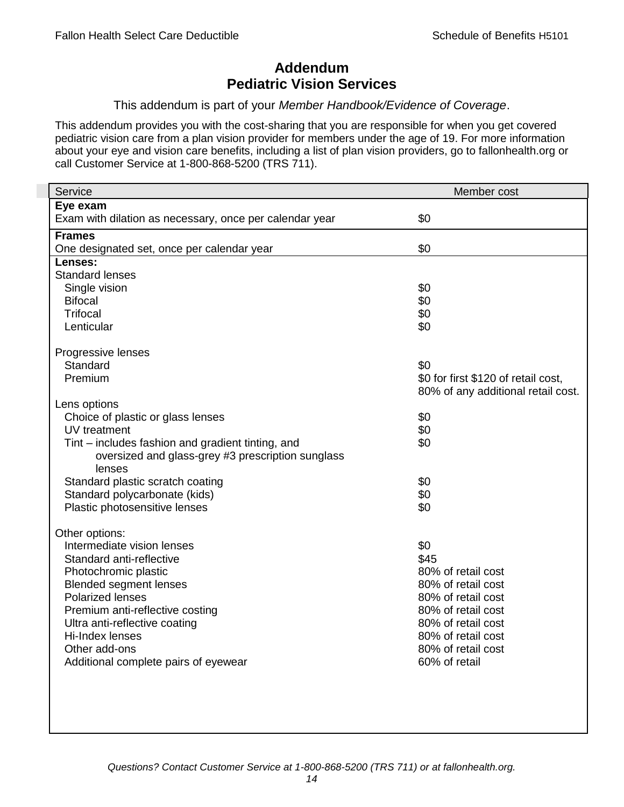# **Addendum Pediatric Vision Services**

### This addendum is part of your *Member Handbook/Evidence of Coverage*.

This addendum provides you with the cost-sharing that you are responsible for when you get covered pediatric vision care from a plan vision provider for members under the age of 19. For more information about your eye and vision care benefits, including a list of plan vision providers, go to fallonhealth.org or call Customer Service at 1-800-868-5200 (TRS 711).

| Service                                                 | Member cost                         |
|---------------------------------------------------------|-------------------------------------|
| Eye exam                                                |                                     |
| Exam with dilation as necessary, once per calendar year | \$0                                 |
| <b>Frames</b>                                           |                                     |
| One designated set, once per calendar year              | \$0                                 |
| Lenses:                                                 |                                     |
| <b>Standard lenses</b>                                  |                                     |
| Single vision                                           | \$0                                 |
| <b>Bifocal</b>                                          | \$0                                 |
| <b>Trifocal</b>                                         | \$0                                 |
| Lenticular                                              | \$0                                 |
| Progressive lenses                                      |                                     |
| Standard                                                | \$0                                 |
| Premium                                                 | \$0 for first \$120 of retail cost, |
|                                                         | 80% of any additional retail cost.  |
| Lens options                                            |                                     |
| Choice of plastic or glass lenses                       | \$0                                 |
| UV treatment                                            | \$0                                 |
| Tint – includes fashion and gradient tinting, and       | \$0                                 |
| oversized and glass-grey #3 prescription sunglass       |                                     |
| lenses                                                  |                                     |
| Standard plastic scratch coating                        | \$0                                 |
| Standard polycarbonate (kids)                           | \$0                                 |
| Plastic photosensitive lenses                           | \$0                                 |
| Other options:                                          |                                     |
| Intermediate vision lenses                              | \$0                                 |
| Standard anti-reflective                                | \$45                                |
| Photochromic plastic                                    | 80% of retail cost                  |
| <b>Blended segment lenses</b>                           | 80% of retail cost                  |
| <b>Polarized lenses</b>                                 | 80% of retail cost                  |
| Premium anti-reflective costing                         | 80% of retail cost                  |
| Ultra anti-reflective coating                           | 80% of retail cost                  |
| Hi-Index lenses                                         | 80% of retail cost                  |
| Other add-ons                                           | 80% of retail cost                  |
| Additional complete pairs of eyewear                    | 60% of retail                       |
|                                                         |                                     |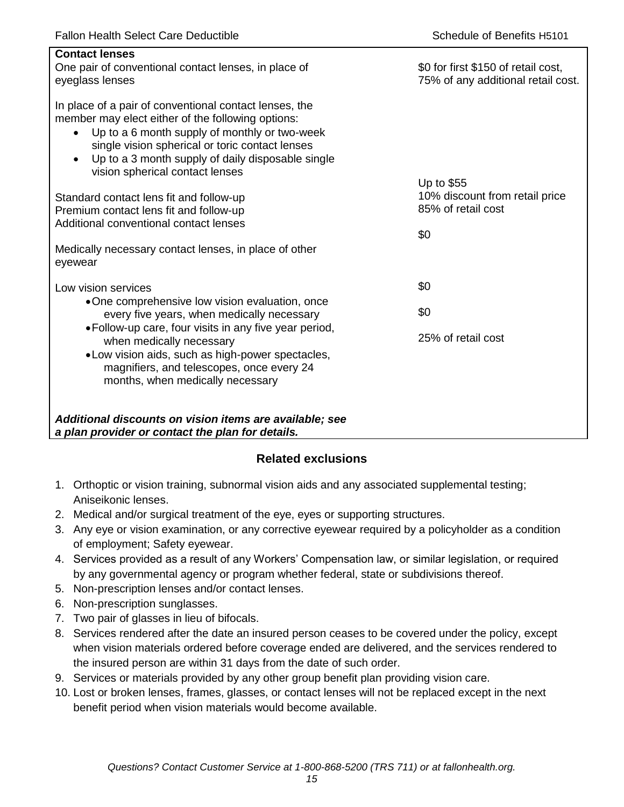| <b>Contact lenses</b><br>One pair of conventional contact lenses, in place of<br>eyeglass lenses                                                                                                                                                                                                                                  | \$0 for first \$150 of retail cost,<br>75% of any additional retail cost. |
|-----------------------------------------------------------------------------------------------------------------------------------------------------------------------------------------------------------------------------------------------------------------------------------------------------------------------------------|---------------------------------------------------------------------------|
| In place of a pair of conventional contact lenses, the<br>member may elect either of the following options:<br>Up to a 6 month supply of monthly or two-week<br>$\bullet$<br>single vision spherical or toric contact lenses<br>Up to a 3 month supply of daily disposable single<br>$\bullet$<br>vision spherical contact lenses |                                                                           |
| Standard contact lens fit and follow-up<br>Premium contact lens fit and follow-up<br>Additional conventional contact lenses                                                                                                                                                                                                       | Up to \$55<br>10% discount from retail price<br>85% of retail cost<br>\$0 |
| Medically necessary contact lenses, in place of other<br>eyewear                                                                                                                                                                                                                                                                  |                                                                           |
| Low vision services                                                                                                                                                                                                                                                                                                               | \$0                                                                       |
| •One comprehensive low vision evaluation, once<br>every five years, when medically necessary                                                                                                                                                                                                                                      | \$0                                                                       |
| • Follow-up care, four visits in any five year period,<br>when medically necessary<br>• Low vision aids, such as high-power spectacles,<br>magnifiers, and telescopes, once every 24<br>months, when medically necessary                                                                                                          | 25% of retail cost                                                        |
| Additional discounts on vision items are available; see<br>a plan provider or contact the plan for details.                                                                                                                                                                                                                       |                                                                           |

# **Related exclusions**

- 1. Orthoptic or vision training, subnormal vision aids and any associated supplemental testing; Aniseikonic lenses.
- 2. Medical and/or surgical treatment of the eye, eyes or supporting structures.
- 3. Any eye or vision examination, or any corrective eyewear required by a policyholder as a condition of employment; Safety eyewear.
- 4. Services provided as a result of any Workers' Compensation law, or similar legislation, or required by any governmental agency or program whether federal, state or subdivisions thereof.
- 5. Non-prescription lenses and/or contact lenses.
- 6. Non-prescription sunglasses.
- 7. Two pair of glasses in lieu of bifocals.
- 8. Services rendered after the date an insured person ceases to be covered under the policy, except when vision materials ordered before coverage ended are delivered, and the services rendered to the insured person are within 31 days from the date of such order.
- 9. Services or materials provided by any other group benefit plan providing vision care.
- 10. Lost or broken lenses, frames, glasses, or contact lenses will not be replaced except in the next benefit period when vision materials would become available.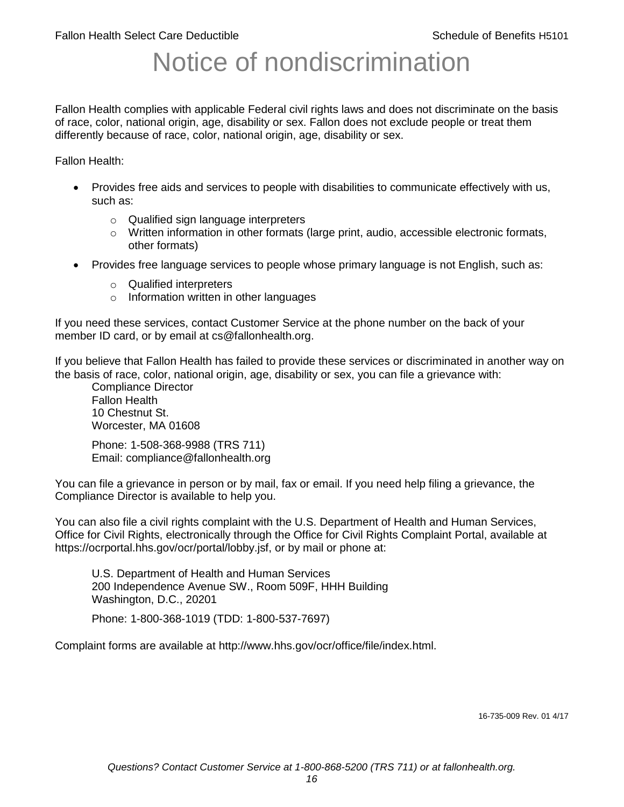# Notice of nondiscrimination

Fallon Health complies with applicable Federal civil rights laws and does not discriminate on the basis of race, color, national origin, age, disability or sex. Fallon does not exclude people or treat them differently because of race, color, national origin, age, disability or sex.

Fallon Health:

- Provides free aids and services to people with disabilities to communicate effectively with us, such as:
	- o Qualified sign language interpreters
	- $\circ$  Written information in other formats (large print, audio, accessible electronic formats, other formats)
- Provides free language services to people whose primary language is not English, such as:
	- o Qualified interpreters
	- o Information written in other languages

If you need these services, contact Customer Service at the phone number on the back of your member ID card, or by email at cs@fallonhealth.org.

If you believe that Fallon Health has failed to provide these services or discriminated in another way on the basis of race, color, national origin, age, disability or sex, you can file a grievance with:

Compliance Director Fallon Health 10 Chestnut St. Worcester, MA 01608

Phone: 1-508-368-9988 (TRS 711) Email: compliance@fallonhealth.org

You can file a grievance in person or by mail, fax or email. If you need help filing a grievance, the Compliance Director is available to help you.

You can also file a civil rights complaint with the U.S. Department of Health and Human Services, Office for Civil Rights, electronically through the Office for Civil Rights Complaint Portal, available at https://ocrportal.hhs.gov/ocr/portal/lobby.jsf, or by mail or phone at:

U.S. Department of Health and Human Services 200 Independence Avenue SW., Room 509F, HHH Building Washington, D.C., 20201

Phone: 1-800-368-1019 (TDD: 1-800-537-7697)

Complaint forms are available at http://www.hhs.gov/ocr/office/file/index.html.

16-735-009 Rev. 01 4/17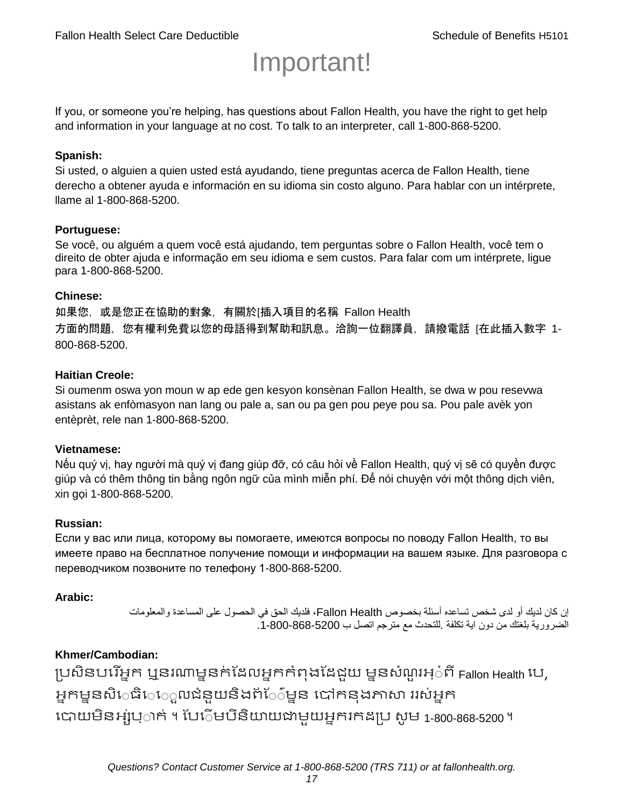# Important!

If you, or someone you're helping, has questions about Fallon Health, you have the right to get help and information in your language at no cost. To talk to an interpreter, call 1-800-868-5200.

#### **Spanish:**

Si usted, o alguien a quien usted está ayudando, tiene preguntas acerca de Fallon Health, tiene derecho a obtener ayuda e información en su idioma sin costo alguno. Para hablar con un intérprete, llame al 1-800-868-5200.

#### **Portuguese:**

Se você, ou alguém a quem você está ajudando, tem perguntas sobre o Fallon Health, você tem o direito de obter ajuda e informação em seu idioma e sem custos. Para falar com um intérprete, ligue para 1-800-868-5200.

#### **Chinese:**

如果您,或是您正在協助的對象,有關於[插入項目的名稱 Fallon Health 方面的問題, 您有權利免費以您的母語得到幫助和訊息。洽詢一位翻譯員, 請撥電話 [在此插入數字 1-800-868-5200.

#### **Haitian Creole:**

Si oumenm oswa yon moun w ap ede gen kesyon konsènan Fallon Health, se dwa w pou resevwa asistans ak enfòmasyon nan lang ou pale a, san ou pa gen pou peye pou sa. Pou pale avèk yon entèprèt, rele nan 1-800-868-5200.

#### **Vietnamese:**

Nếu quý vị, hay người mà quý vị đang giúp đỡ, có câu hỏi về Fallon Health, quý vị sẽ có quyền được giúp và có thêm thông tin bằng ngôn ngữ của mình miễn phí. Để nói chuyện với một thông dịch viên, xin gọi 1-800-868-5200.

#### **Russian:**

Если у вас или лица, которому вы помогаете, имеются вопросы по поводу Fallon Health, то вы имеете право на бесплатное получение помощи и информации на вашем языке. Для разговора с переводчиком позвоните по телефону 1-800-868-5200.

#### **Arabic:**

إن كان لديك أو لدى شخص تساعده أسئلة بخصوص Health Fallon، فلديك الحق في الحصول على المساعدة والمعلومات الضرورية بلغتك من دون اية تكلفة .للتحدث مع مترجم اتصل ب .1-800-868-5200

# **Khmer/Cambodian:**

ប្រសិនបរើអ្នក ឬនរណាម្ននក់ដែលអ្នកកំពុងដែជយ ម្ននសំណួរអ្៎ពី Fallon Health រប, អ្នកម្ននសិេធិេ្រុលជំនួយនិងព័ែ៌ម្នន បៅកនុងភាសា ររស់អ្នក រោយម្ិនអ្ស់រ្ំ ក់ ។ ដររំម្ រនី ិយាយជាម្ួយអ្នក កែប្រ សូ ម្ 1-800-868-5200 ។